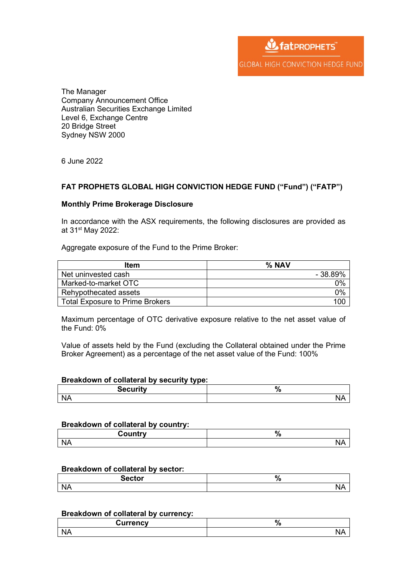**W** fat PROPHETS **GLOBAL HIGH CONVICTION HEDGE FUND** 

The Manager Company Announcement Office Australian Securities Exchange Limited Level 6, Exchange Centre 20 Bridge Street Sydney NSW 2000

6 June 2022

# **FAT PROPHETS GLOBAL HIGH CONVICTION HEDGE FUND ("Fund") ("FATP")**

### **Monthly Prime Brokerage Disclosure**

In accordance with the ASX requirements, the following disclosures are provided as at 31<sup>st</sup> May 2022:

Aggregate exposure of the Fund to the Prime Broker:

| Item                                   | $\%$ NAV |
|----------------------------------------|----------|
| Net uninvested cash                    | - 38.89% |
| Marked-to-market OTC                   | 0%       |
| Rehypothecated assets                  | 0%       |
| <b>Total Exposure to Prime Brokers</b> |          |

Maximum percentage of OTC derivative exposure relative to the net asset value of the Fund: 0%

Value of assets held by the Fund (excluding the Collateral obtained under the Prime Broker Agreement) as a percentage of the net asset value of the Fund: 100%

### **Breakdown of collateral by security type:**

| Security<br>ΊU<br>cи<br>. . |  |
|-----------------------------|--|
|                             |  |

#### **Breakdown of collateral by country:**

| AUNTU J  | 1 v |
|----------|-----|
| ⊃∪unu ∗  |     |
| NL.<br>v | 11  |

### **Breakdown of collateral by sector:**

| <b>Sector</b> | 70   |
|---------------|------|
| N/<br>.       | I 47 |

#### **Breakdown of collateral by currency:**

| <b><i><u>Jurrency</u></i></b> | /u<br>$-$ |
|-------------------------------|-----------|
| N,                            | .         |